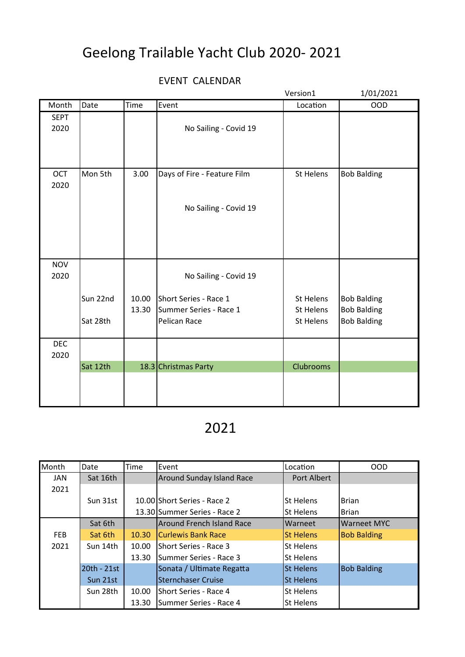## Geelong Trailable Yacht Club 2020- 2021

## EVENT CALENDAR

|                     |                      |                |                                                                 | Version1                                   | 1/01/2021                                                      |
|---------------------|----------------------|----------------|-----------------------------------------------------------------|--------------------------------------------|----------------------------------------------------------------|
| Month               | Date                 | Time           | Event                                                           | Location                                   | <b>OOD</b>                                                     |
| <b>SEPT</b><br>2020 |                      |                | No Sailing - Covid 19                                           |                                            |                                                                |
| OCT<br>2020         | Mon 5th              | 3.00           | Days of Fire - Feature Film<br>No Sailing - Covid 19            | St Helens                                  | <b>Bob Balding</b>                                             |
| <b>NOV</b><br>2020  |                      |                | No Sailing - Covid 19                                           |                                            |                                                                |
|                     | Sun 22nd<br>Sat 28th | 10.00<br>13.30 | Short Series - Race 1<br>Summer Series - Race 1<br>Pelican Race | St Helens<br><b>St Helens</b><br>St Helens | <b>Bob Balding</b><br><b>Bob Balding</b><br><b>Bob Balding</b> |
| <b>DEC</b><br>2020  |                      |                |                                                                 |                                            |                                                                |
|                     | Sat 12th             |                | 18.3 Christmas Party                                            | Clubrooms                                  |                                                                |

## 2021

| Month      | Date        | Time  | Event                            | Location         | <b>OOD</b>         |
|------------|-------------|-------|----------------------------------|------------------|--------------------|
| JAN        | Sat 16th    |       | <b>Around Sunday Island Race</b> | Port Albert      |                    |
| 2021       |             |       |                                  |                  |                    |
|            | Sun 31st    |       | 10.00 Short Series - Race 2      | <b>St Helens</b> | <b>Brian</b>       |
|            |             |       | 13.30 Summer Series - Race 2     | <b>St Helens</b> | <b>Brian</b>       |
|            | Sat 6th     |       | Around French Island Race        | Warneet          | <b>Warneet MYC</b> |
| <b>FEB</b> | Sat 6th     | 10.30 | <b>Curlewis Bank Race</b>        | <b>St Helens</b> | <b>Bob Balding</b> |
| 2021       | Sun 14th    | 10.00 | Short Series - Race 3            | <b>St Helens</b> |                    |
|            |             | 13.30 | Summer Series - Race 3           | <b>St Helens</b> |                    |
|            | 20th - 21st |       | Sonata / Ultimate Regatta        | <b>St Helens</b> | <b>Bob Balding</b> |
|            | Sun 21st    |       | Sternchaser Cruise               | <b>St Helens</b> |                    |
|            | Sun 28th    | 10.00 | Short Series - Race 4            | <b>St Helens</b> |                    |
|            |             | 13.30 | Summer Series - Race 4           | <b>St Helens</b> |                    |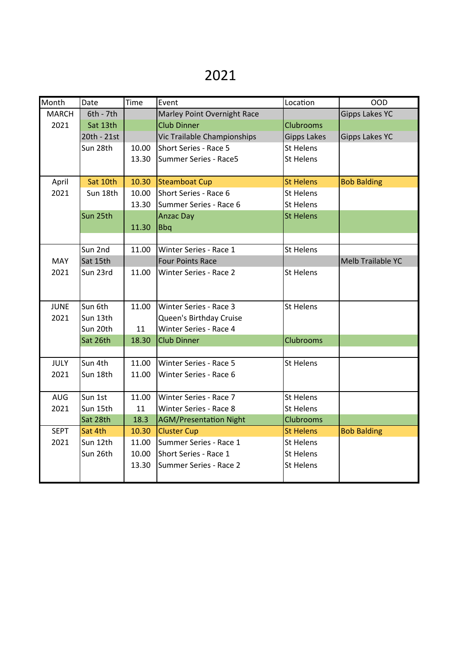## 2021

| Month        | Date        | Time  | Event                         | Location           | <b>OOD</b>            |
|--------------|-------------|-------|-------------------------------|--------------------|-----------------------|
| <b>MARCH</b> | $6th - 7th$ |       | Marley Point Overnight Race   |                    | <b>Gipps Lakes YC</b> |
| 2021         | Sat 13th    |       | <b>Club Dinner</b>            | <b>Clubrooms</b>   |                       |
|              | 20th - 21st |       | Vic Trailable Championships   | <b>Gipps Lakes</b> | <b>Gipps Lakes YC</b> |
|              | Sun 28th    | 10.00 | Short Series - Race 5         | <b>St Helens</b>   |                       |
|              |             | 13.30 | Summer Series - Race5         | <b>St Helens</b>   |                       |
|              |             |       |                               |                    |                       |
| April        | Sat 10th    | 10.30 | <b>Steamboat Cup</b>          | <b>St Helens</b>   | <b>Bob Balding</b>    |
| 2021         | Sun 18th    | 10.00 | Short Series - Race 6         | <b>St Helens</b>   |                       |
|              |             | 13.30 | Summer Series - Race 6        | <b>St Helens</b>   |                       |
|              | Sun 25th    |       | <b>Anzac Day</b>              | <b>St Helens</b>   |                       |
|              |             | 11.30 | <b>Bbq</b>                    |                    |                       |
|              |             |       |                               |                    |                       |
|              | Sun 2nd     | 11.00 | Winter Series - Race 1        | <b>St Helens</b>   |                       |
| <b>MAY</b>   | Sat 15th    |       | <b>Four Points Race</b>       |                    | Melb Trailable YC     |
| 2021         | Sun 23rd    | 11.00 | Winter Series - Race 2        | St Helens          |                       |
|              |             |       |                               |                    |                       |
|              |             |       |                               |                    |                       |
| <b>JUNE</b>  | Sun 6th     | 11.00 | Winter Series - Race 3        | St Helens          |                       |
| 2021         | Sun 13th    |       | Queen's Birthday Cruise       |                    |                       |
|              | Sun 20th    | 11    | Winter Series - Race 4        |                    |                       |
|              | Sat 26th    | 18.30 | <b>Club Dinner</b>            | <b>Clubrooms</b>   |                       |
|              |             |       |                               |                    |                       |
| <b>JULY</b>  | Sun 4th     | 11.00 | Winter Series - Race 5        | <b>St Helens</b>   |                       |
| 2021         | Sun 18th    | 11.00 | Winter Series - Race 6        |                    |                       |
|              |             |       |                               |                    |                       |
| <b>AUG</b>   | Sun 1st     | 11.00 | Winter Series - Race 7        | St Helens          |                       |
| 2021         | Sun 15th    | 11    | Winter Series - Race 8        | <b>St Helens</b>   |                       |
|              | Sat 28th    | 18.3  | <b>AGM/Presentation Night</b> | <b>Clubrooms</b>   |                       |
| <b>SEPT</b>  | Sat 4th     | 10.30 | <b>Cluster Cup</b>            | <b>St Helens</b>   | <b>Bob Balding</b>    |
| 2021         | Sun 12th    | 11.00 | Summer Series - Race 1        | <b>St Helens</b>   |                       |
|              | Sun 26th    | 10.00 | Short Series - Race 1         | <b>St Helens</b>   |                       |
|              |             | 13.30 | Summer Series - Race 2        | St Helens          |                       |
|              |             |       |                               |                    |                       |